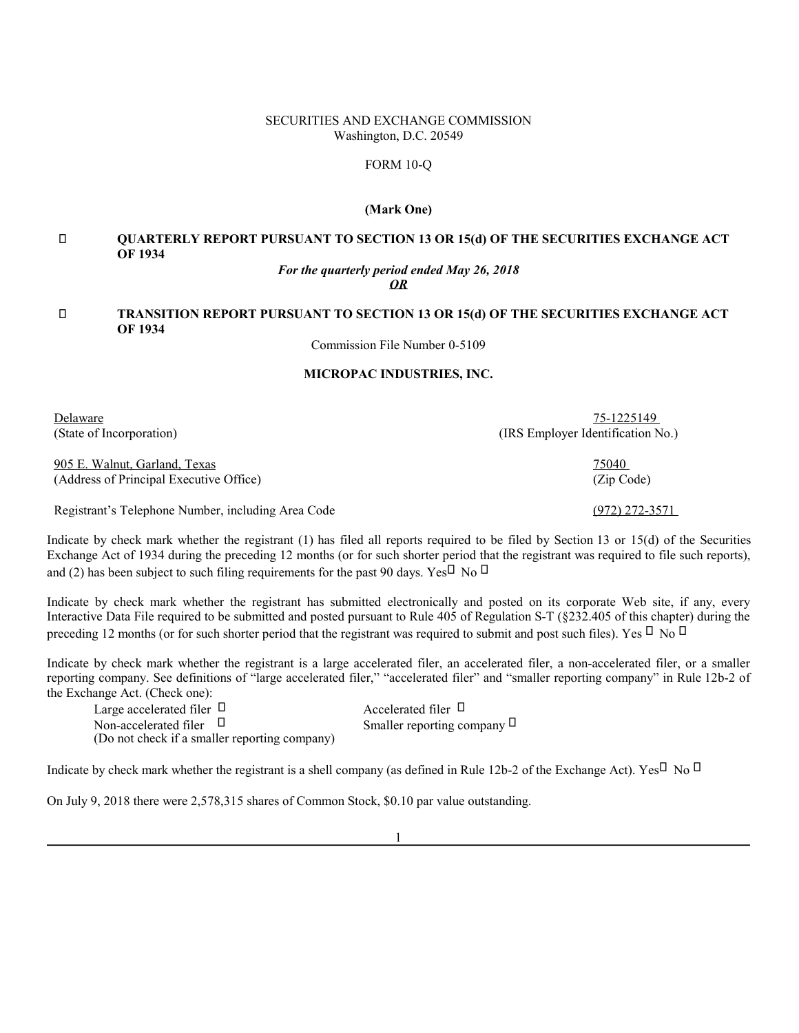## SECURITIES AND EXCHANGE COMMISSION Washington, D.C. 20549

### FORM 10-Q

## **(Mark One)**

# **QUARTERLY REPORT PURSUANT TO SECTION 13 OR 15(d) OF THE SECURITIES EXCHANGE ACT OF 1934**

#### *For the quarterly period ended May 26, 2018 OR*

# **TRANSITION REPORT PURSUANT TO SECTION 13 OR 15(d) OF THE SECURITIES EXCHANGE ACT OF 1934**

Commission File Number 0-5109

# **MICROPAC INDUSTRIES, INC.**

Delaware 75-1225149 (State of Incorporation) (IRS Employer Identification No.)

905 E. Walnut, Garland, Texas 75040 (Address of Principal Executive Office) (Zip Code)

Registrant's Telephone Number, including Area Code (972) 272-3571

Indicate by check mark whether the registrant (1) has filed all reports required to be filed by Section 13 or 15(d) of the Securities Exchange Act of 1934 during the preceding 12 months (or for such shorter period that the registrant was required to file such reports), and  $(2)$  has been subject to such filing requirements for the past 90 days. Yes No

Indicate by check mark whether the registrant has submitted electronically and posted on its corporate Web site, if any, every Interactive Data File required to be submitted and posted pursuant to Rule 405 of Regulation S-T (§232.405 of this chapter) during the preceding 12 months (or for such shorter period that the registrant was required to submit and post such files). Yes No

Indicate by check mark whether the registrant is a large accelerated filer, an accelerated filer, a non-accelerated filer, or a smaller reporting company. See definitions of "large accelerated filer," "accelerated filer" and "smaller reporting company" in Rule 12b-2 of the Exchange Act. (Check one):

(Do not check if a smaller reporting company) Large accelerated filer and accelerated filer Accelerated filer Non-accelerated filer Smaller reporting company

Indicate by check mark whether the registrant is a shell company (as defined in Rule 12b-2 of the Exchange Act). Yes No

On July 9, 2018 there were 2,578,315 shares of Common Stock, \$0.10 par value outstanding.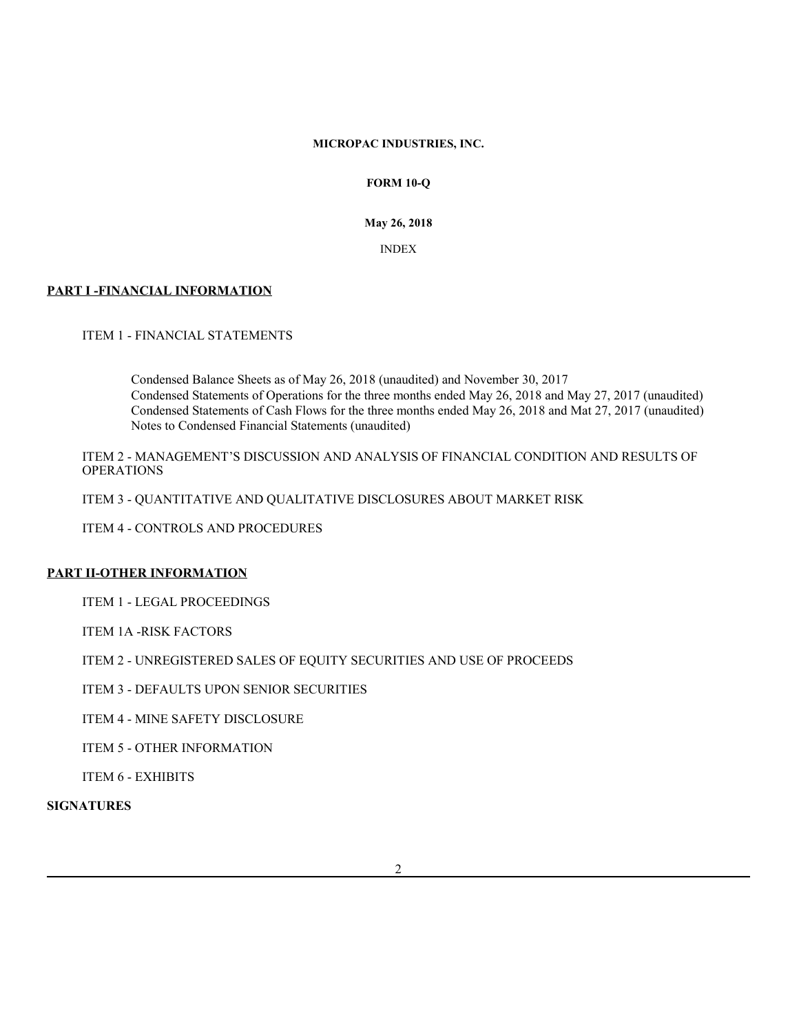# **MICROPAC INDUSTRIES, INC.**

# **FORM 10-Q**

**May 26, 2018**

INDEX

# **PART I -FINANCIAL INFORMATION**

ITEM 1 - FINANCIAL STATEMENTS

Condensed Balance Sheets as of May 26, 2018 (unaudited) and November 30, 2017 Condensed Statements of Operations for the three months ended May 26, 2018 and May 27, 2017 (unaudited) Condensed Statements of Cash Flows for the three months ended May 26, 2018 and Mat 27, 2017 (unaudited) Notes to Condensed Financial Statements (unaudited)

ITEM 2 - MANAGEMENT'S DISCUSSION AND ANALYSIS OF FINANCIAL CONDITION AND RESULTS OF **OPERATIONS** 

ITEM 3 - QUANTITATIVE AND QUALITATIVE DISCLOSURES ABOUT MARKET RISK

ITEM 4 - CONTROLS AND PROCEDURES

# **PART II-OTHER INFORMATION**

ITEM 1 - LEGAL PROCEEDINGS

ITEM 1A -RISK FACTORS

ITEM 2 - UNREGISTERED SALES OF EQUITY SECURITIES AND USE OF PROCEEDS

ITEM 3 - DEFAULTS UPON SENIOR SECURITIES

ITEM 4 - MINE SAFETY DISCLOSURE

ITEM 5 - OTHER INFORMATION

ITEM 6 - EXHIBITS

**SIGNATURES**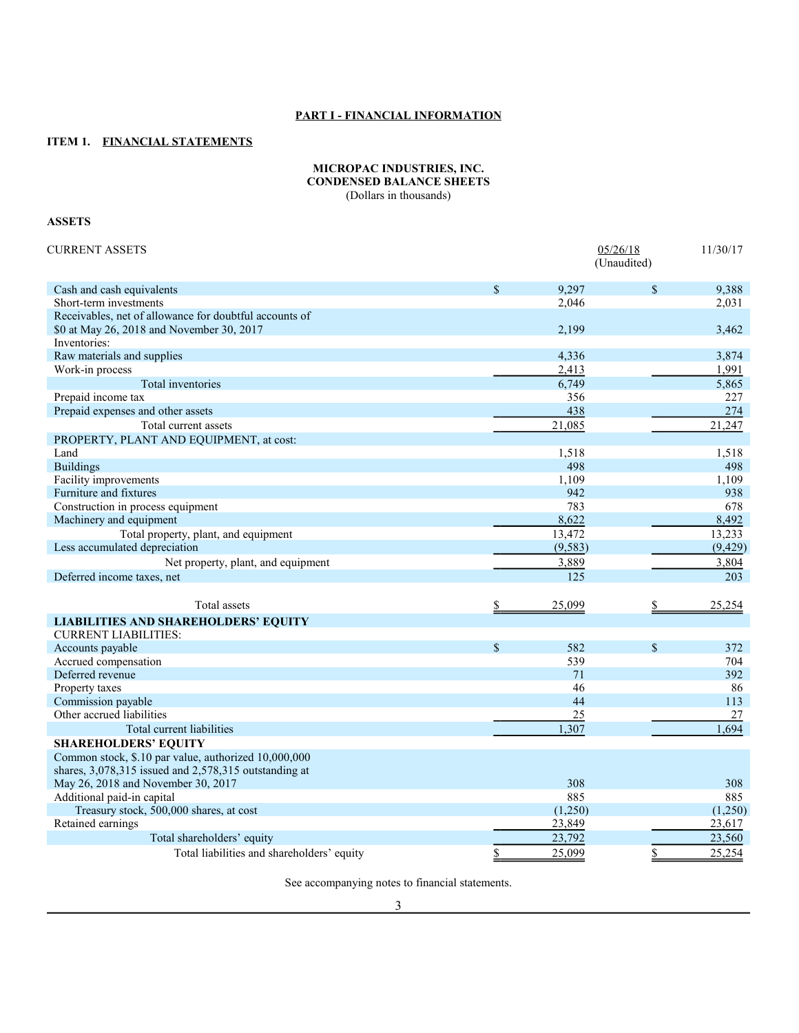# **PART I - FINANCIAL INFORMATION**

# **ITEM 1. FINANCIAL STATEMENTS**

### **MICROPAC INDUSTRIES, INC. CONDENSED BALANCE SHEETS** (Dollars in thousands)

# **ASSETS**

| <b>CURRENT ASSETS</b>                                                 |               | 05/26/18<br>(Unaudited) |             | 11/30/17   |  |
|-----------------------------------------------------------------------|---------------|-------------------------|-------------|------------|--|
| Cash and cash equivalents                                             | $\mathcal{S}$ | 9.297                   | $\mathbf S$ | 9,388      |  |
| Short-term investments                                                |               | 2,046                   |             | 2,031      |  |
| Receivables, net of allowance for doubtful accounts of                |               |                         |             |            |  |
| \$0 at May 26, 2018 and November 30, 2017                             |               | 2,199                   |             | 3,462      |  |
| Inventories:                                                          |               |                         |             |            |  |
| Raw materials and supplies                                            |               | 4,336                   |             | 3,874      |  |
| Work-in process                                                       |               | 2,413                   |             | 1,991      |  |
| Total inventories                                                     |               | 6,749                   |             | 5,865      |  |
| Prepaid income tax                                                    |               | 356                     |             | 227        |  |
| Prepaid expenses and other assets                                     |               | 438                     |             | 274        |  |
| Total current assets                                                  |               | 21,085                  |             | 21,247     |  |
| PROPERTY, PLANT AND EQUIPMENT, at cost:                               |               |                         |             |            |  |
| Land                                                                  |               | 1,518                   |             | 1,518      |  |
| <b>Buildings</b>                                                      |               | 498                     |             | 498        |  |
| Facility improvements                                                 |               | 1,109                   |             | 1,109      |  |
| Furniture and fixtures                                                |               | 942                     |             | 938        |  |
| Construction in process equipment                                     |               | 783                     |             | 678        |  |
| Machinery and equipment                                               |               | 8,622                   |             | 8,492      |  |
| Total property, plant, and equipment                                  |               | 13,472                  |             | 13,233     |  |
| Less accumulated depreciation                                         |               | (9, 583)                |             | (9, 429)   |  |
| Net property, plant, and equipment                                    |               | 3,889                   |             | 3,804      |  |
| Deferred income taxes, net                                            |               | 125                     |             | 203        |  |
| Total assets                                                          |               | 25,099                  | \$          | 25,254     |  |
|                                                                       |               |                         |             |            |  |
| <b>LIABILITIES AND SHAREHOLDERS' EQUITY</b>                           |               |                         |             |            |  |
| <b>CURRENT LIABILITIES:</b>                                           |               |                         |             |            |  |
| Accounts payable                                                      | $\mathcal{S}$ | 582<br>539              | $\mathbf S$ | 372<br>704 |  |
| Accrued compensation<br>Deferred revenue                              |               | 71                      |             | 392        |  |
|                                                                       |               |                         |             | 86         |  |
| Property taxes<br>Commission payable                                  |               | 46<br>44                |             | 113        |  |
| Other accrued liabilities                                             |               | 25                      |             | 27         |  |
|                                                                       |               | 1,307                   |             | 1,694      |  |
| Total current liabilities                                             |               |                         |             |            |  |
| <b>SHAREHOLDERS' EQUITY</b>                                           |               |                         |             |            |  |
| Common stock, \$.10 par value, authorized 10,000,000                  |               |                         |             |            |  |
| shares, 3,078,315 issued and 2,578,315 outstanding at                 |               | 308                     |             | 308        |  |
| May 26, 2018 and November 30, 2017                                    |               | 885                     |             | 885        |  |
| Additional paid-in capital<br>Treasury stock, 500,000 shares, at cost |               | (1,250)                 |             | (1,250)    |  |
| Retained earnings                                                     |               | 23,849                  |             | 23,617     |  |
| Total shareholders' equity                                            |               | 23,792                  |             | 23,560     |  |
| Total liabilities and shareholders' equity                            | \$            | 25,099                  | \$          | 25,254     |  |
|                                                                       |               |                         |             |            |  |

See accompanying notes to financial statements.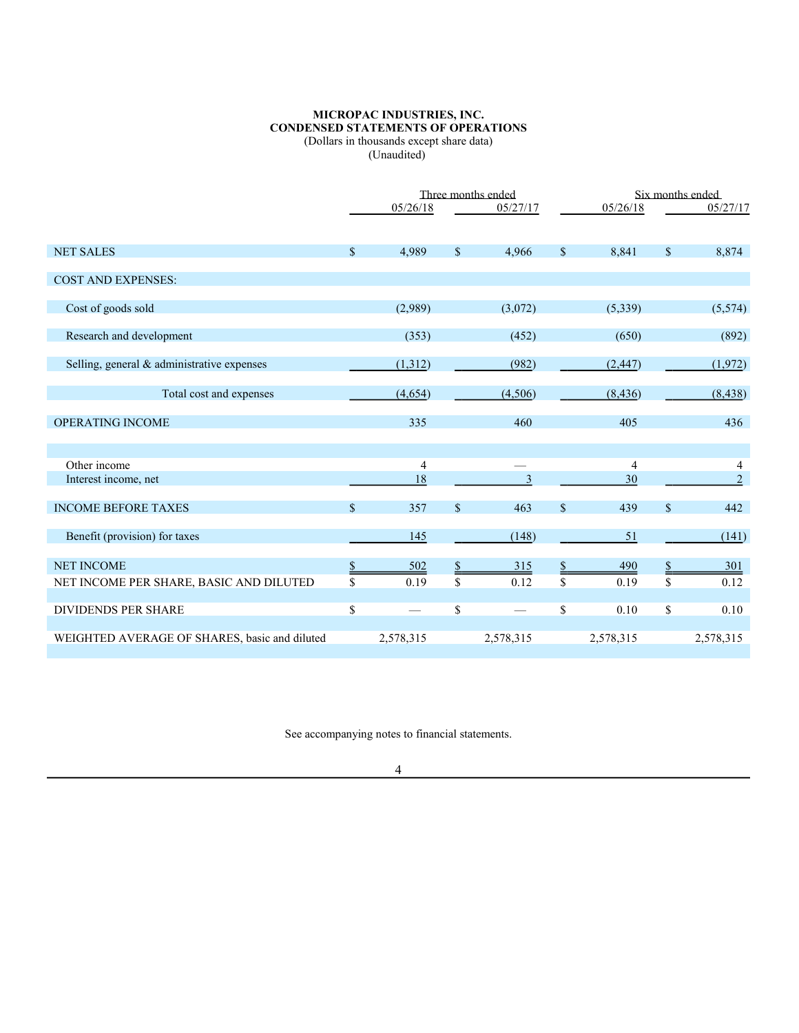### **MICROPAC INDUSTRIES, INC. CONDENSED STATEMENTS OF OPERATIONS** (Dollars in thousands except share data) (Unaudited)

|                                               | Three months ended |                |                    |                          | Six months ended |           |               |                |
|-----------------------------------------------|--------------------|----------------|--------------------|--------------------------|------------------|-----------|---------------|----------------|
|                                               |                    | 05/26/18       |                    | 05/27/17                 |                  | 05/26/18  |               | 05/27/17       |
| <b>NET SALES</b>                              | \$                 | 4.989          | $\mathbf{\hat{s}}$ | 4.966                    | $\mathbf S$      | 8,841     | $\mathbf S$   | 8,874          |
| <b>COST AND EXPENSES:</b>                     |                    |                |                    |                          |                  |           |               |                |
| Cost of goods sold                            |                    | (2,989)        |                    | (3,072)                  |                  | (5, 339)  |               | (5,574)        |
| Research and development                      |                    | (353)          |                    | (452)                    |                  | (650)     |               | (892)          |
| Selling, general & administrative expenses    |                    | (1,312)        |                    | (982)                    |                  | (2, 447)  |               | (1,972)        |
| Total cost and expenses                       |                    | (4,654)        |                    | (4,506)                  |                  | (8, 436)  |               | (8, 438)       |
| OPERATING INCOME                              |                    | 335            |                    | 460                      |                  | 405       |               | 436            |
|                                               |                    |                |                    |                          |                  |           |               |                |
| Other income                                  |                    | $\overline{4}$ |                    |                          |                  | 4         |               | 4              |
| Interest income, net                          |                    | 18             |                    | 3                        |                  | 30        |               | $\overline{c}$ |
| <b>INCOME BEFORE TAXES</b>                    | \$                 | 357            | $\mathbb{S}$       | 463                      | $\mathbb{S}$     | 439       | \$            | 442            |
| Benefit (provision) for taxes                 |                    | 145            |                    | (148)                    |                  | 51        |               | (141)          |
| <b>NET INCOME</b>                             | \$                 | 502            | $\frac{1}{2}$      | 315                      | \$               | 490       | $\frac{1}{2}$ | <b>301</b>     |
| NET INCOME PER SHARE, BASIC AND DILUTED       | \$                 | 0.19           | \$                 | 0.12                     | \$               | 0.19      | \$            | 0.12           |
| DIVIDENDS PER SHARE                           | \$                 |                | \$                 | $\overline{\phantom{0}}$ | \$               | 0.10      | \$            | 0.10           |
| WEIGHTED AVERAGE OF SHARES, basic and diluted |                    | 2,578,315      |                    | 2,578,315                |                  | 2,578,315 |               | 2,578,315      |

See accompanying notes to financial statements.

4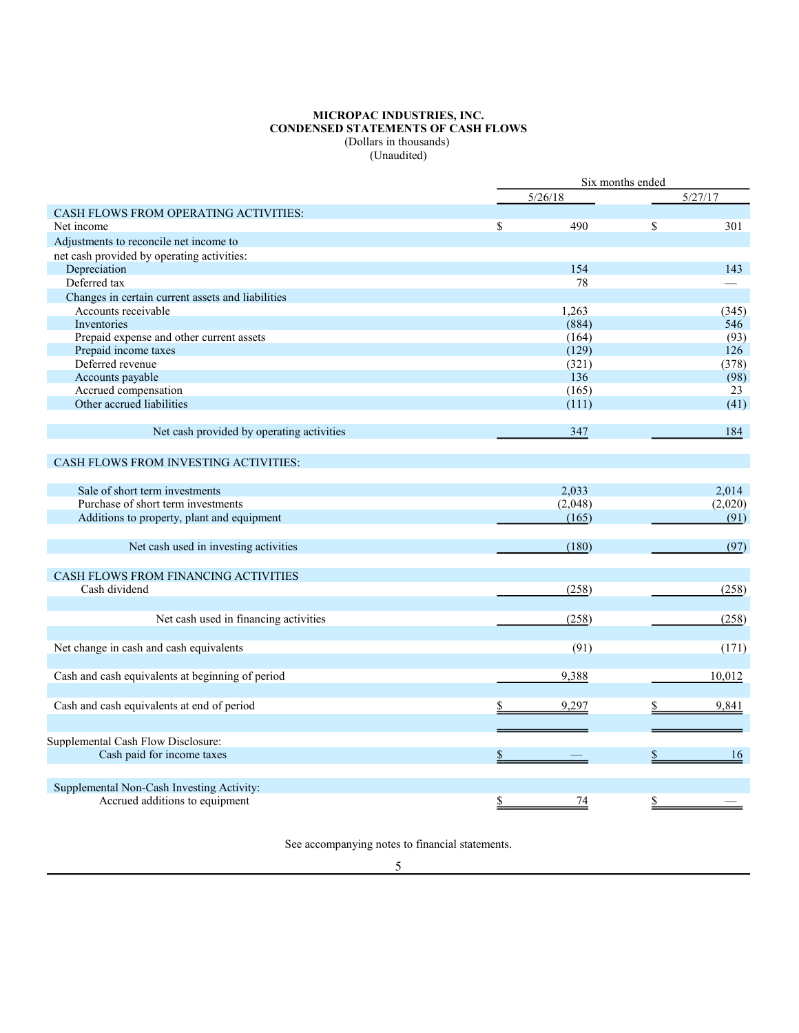#### **MICROPAC INDUSTRIES, INC. CONDENSED STATEMENTS OF CASH FLOWS** (Dollars in thousands) (Unaudited)

|                                                   | Six months ended |         |    |         |
|---------------------------------------------------|------------------|---------|----|---------|
|                                                   |                  | 5/26/18 |    | 5/27/17 |
| <b>CASH FLOWS FROM OPERATING ACTIVITIES:</b>      |                  |         |    |         |
| Net income                                        | \$               | 490     | \$ | 301     |
| Adjustments to reconcile net income to            |                  |         |    |         |
| net cash provided by operating activities:        |                  |         |    |         |
| Depreciation                                      |                  | 154     |    | 143     |
| Deferred tax                                      |                  | 78      |    |         |
| Changes in certain current assets and liabilities |                  |         |    |         |
| Accounts receivable                               |                  | 1,263   |    | (345)   |
| Inventories                                       |                  | (884)   |    | 546     |
| Prepaid expense and other current assets          |                  | (164)   |    | (93)    |
| Prepaid income taxes                              |                  | (129)   |    | 126     |
| Deferred revenue                                  |                  | (321)   |    | (378)   |
| Accounts payable                                  |                  | 136     |    | (98)    |
| Accrued compensation                              |                  | (165)   |    | 23      |
| Other accrued liabilities                         |                  | (111)   |    | (41)    |
|                                                   |                  |         |    |         |
| Net cash provided by operating activities         |                  | 347     |    | 184     |
| <b>CASH FLOWS FROM INVESTING ACTIVITIES:</b>      |                  |         |    |         |
| Sale of short term investments                    |                  | 2,033   |    | 2,014   |
| Purchase of short term investments                |                  | (2,048) |    | (2,020) |
| Additions to property, plant and equipment        |                  | (165)   |    | (91)    |
|                                                   |                  |         |    |         |
| Net cash used in investing activities             |                  | (180)   |    | (97)    |
| CASH FLOWS FROM FINANCING ACTIVITIES              |                  |         |    |         |
| Cash dividend                                     |                  | (258)   |    | (258)   |
|                                                   |                  |         |    |         |
| Net cash used in financing activities             |                  | (258)   |    | (258)   |
| Net change in cash and cash equivalents           |                  | (91)    |    | (171)   |
| Cash and cash equivalents at beginning of period  |                  | 9,388   |    | 10,012  |
|                                                   |                  |         |    |         |
| Cash and cash equivalents at end of period        |                  | 9,297   |    | 9.841   |
|                                                   |                  |         |    |         |
| Supplemental Cash Flow Disclosure:                |                  |         |    |         |
| Cash paid for income taxes                        | \$               |         | \$ | 16      |
|                                                   |                  |         |    |         |
| Supplemental Non-Cash Investing Activity:         |                  |         |    |         |
| Accrued additions to equipment                    | $\frac{1}{2}$    | 74      | \$ |         |
|                                                   |                  |         |    |         |

See accompanying notes to financial statements.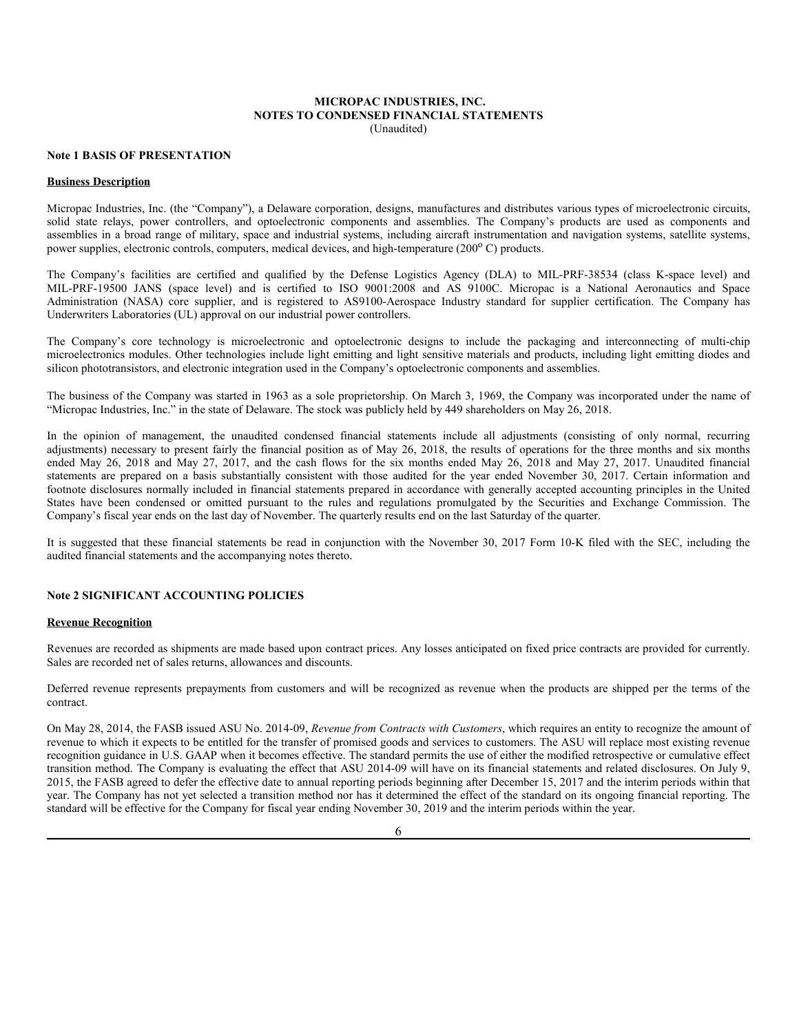#### **MICROPAC INDUSTRIES, INC. NOTES TO CONDENSED FINANCIAL STATEMENTS** (Unaudited)

#### **Note 1 BASIS OF PRESENTATION**

#### **Business Description**

Micropac Industries, Inc. (the "Company"), a Delaware corporation, designs, manufactures and distributes various types of microelectronic circuits, solid state relays, power controllers, and optoelectronic components and assemblies. The Company's products are used as components and assemblies in a broad range of military, space and industrial systems, including aircraft instrumentation and navigation systems, satellite systems, power supplies, electronic controls, computers, medical devices, and high-temperature (200°C) products.

The Company's facilities are certified and qualified by the Defense Logistics Agency (DLA) to MIL-PRF-38534 (class K-space level) and MIL-PRF-19500 JANS (space level) and is certified to ISO 9001:2008 and AS 9100C. Micropac is a National Aeronautics and Space Administration (NASA) core supplier, and is registered to AS9100-Aerospace Industry standard for supplier certification. The Company has Underwriters Laboratories (UL) approval on our industrial power controllers.

The Company's core technology is microelectronic and optoelectronic designs to include the packaging and interconnecting of multi-chip microelectronics modules. Other technologies include light emitting and light sensitive materials and products, including light emitting diodes and silicon phototransistors, and electronic integration used in the Company's optoelectronic components and assemblies.

The business of the Company was started in 1963 as a sole proprietorship. On March 3, 1969, the Company was incorporated under the name of "Micropac Industries, Inc." in the state of Delaware. The stock was publicly held by 449 shareholders on May 26, 2018.

In the opinion of management, the unaudited condensed financial statements include all adjustments (consisting of only normal, recurring adjustments) necessary to present fairly the financial position as of May 26, 2018, the results of operations for the three months and six months ended May 26, 2018 and May 27, 2017, and the cash flows for the six months ended May 26, 2018 and May 27, 2017. Unaudited financial statements are prepared on a basis substantially consistent with those audited for the year ended November 30, 2017. Certain information and footnote disclosures normally included in financial statements prepared in accordance with generally accepted accounting principles in the United States have been condensed or omitted pursuant to the rules and regulations promulgated by the Securities and Exchange Commission. The Company's fiscal year ends on the last day of November. The quarterly results end on the last Saturday of the quarter.

It is suggested that these financial statements be read in conjunction with the November 30, 2017 Form 10-K filed with the SEC, including the audited financial statements and the accompanying notes thereto.

### **Note 2 SIGNIFICANT ACCOUNTING POLICIES**

#### **Revenue Recognition**

Revenues are recorded as shipments are made based upon contract prices. Any losses anticipated on fixed price contracts are provided for currently. Sales are recorded net of sales returns, allowances and discounts.

Deferred revenue represents prepayments from customers and will be recognized as revenue when the products are shipped per the terms of the contract.

On May 28, 2014, the FASB issued ASU No. 2014-09, *Revenue from Contracts with Customers*, which requires an entity to recognize the amount of revenue to which it expects to be entitled for the transfer of promised goods and services to customers. The ASU will replace most existing revenue recognition guidance in U.S. GAAP when it becomes effective. The standard permits the use of either the modified retrospective or cumulative effect transition method. The Company is evaluating the effect that ASU 2014-09 will have on its financial statements and related disclosures. On July 9, 2015, the FASB agreed to defer the effective date to annual reporting periods beginning after December 15, 2017 and the interim periods within that year. The Company has not yet selected a transition method nor has it determined the effect of the standard on its ongoing financial reporting. The standard will be effective for the Company for fiscal year ending November 30, 2019 and the interim periods within the year.

6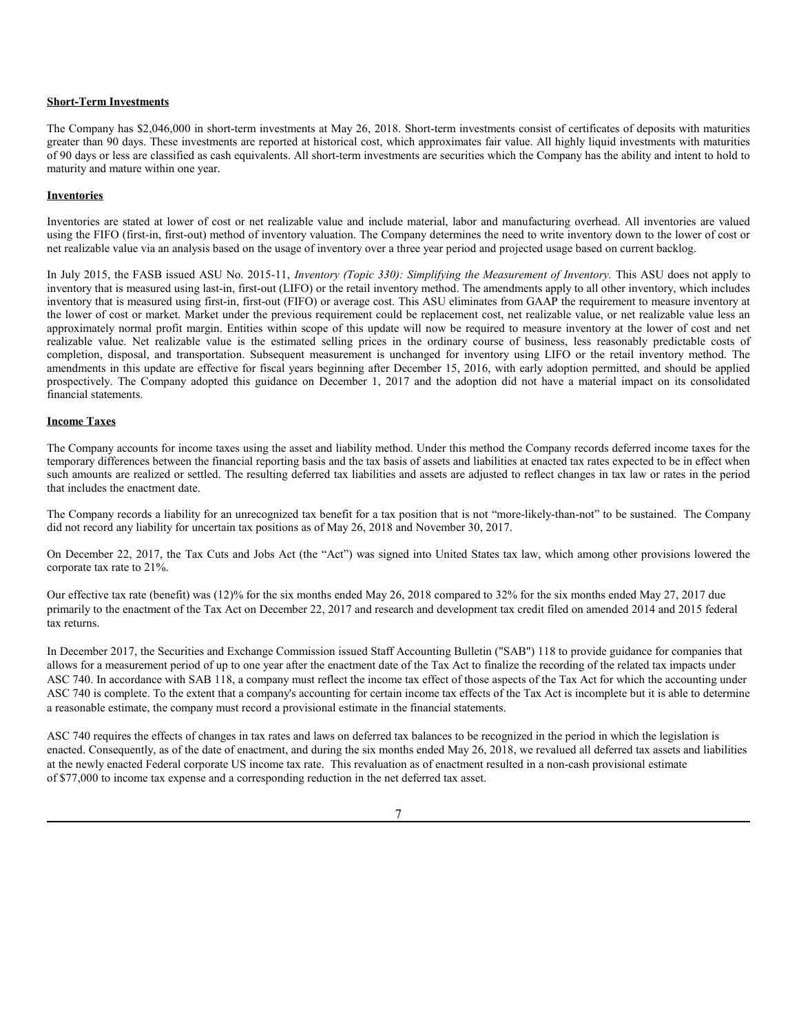#### **Short-Term Investments**

The Company has \$2,046,000 in short-term investments at May 26, 2018. Short-term investments consist of certificates of deposits with maturities greater than 90 days. These investments are reported at historical cost, which approximates fair value. All highly liquid investments with maturities of 90 days or less are classified as cash equivalents. All short-term investments are securities which the Company has the ability and intent to hold to maturity and mature within one year.

#### **Inventories**

Inventories are stated at lower of cost or net realizable value and include material, labor and manufacturing overhead. All inventories are valued using the FIFO (first-in, first-out) method of inventory valuation. The Company determines the need to write inventory down to the lower of cost or net realizable value via an analysis based on the usage of inventory over a three year period and projected usage based on current backlog.

In July 2015, the FASB issued ASU No. 2015-11, *Inventory (Topic 330): Simplifying the Measurement of Inventory.* This ASU does not apply to inventory that is measured using last-in, first-out (LIFO) or the retail inventory method. The amendments apply to all other inventory, which includes inventory that is measured using first-in, first-out (FIFO) or average cost. This ASU eliminates from GAAP the requirement to measure inventory at the lower of cost or market. Market under the previous requirement could be replacement cost, net realizable value, or net realizable value less an approximately normal profit margin. Entities within scope of this update will now be required to measure inventory at the lower of cost and net realizable value. Net realizable value is the estimated selling prices in the ordinary course of business, less reasonably predictable costs of completion, disposal, and transportation. Subsequent measurement is unchanged for inventory using LIFO or the retail inventory method. The amendments in this update are effective for fiscal years beginning after December 15, 2016, with early adoption permitted, and should be applied prospectively. The Company adopted this guidance on December 1, 2017 and the adoption did not have a material impact on its consolidated financial statements.

### **Income Taxes**

The Company accounts for income taxes using the asset and liability method. Under this method the Company records deferred income taxes for the temporary differences between the financial reporting basis and the tax basis of assets and liabilities at enacted tax rates expected to be in effect when such amounts are realized or settled. The resulting deferred tax liabilities and assets are adjusted to reflect changes in tax law or rates in the period that includes the enactment date.

The Company records a liability for an unrecognized tax benefit for a tax position that is not "more-likely-than-not" to be sustained. The Company did not record any liability for uncertain tax positions as of May 26, 2018 and November 30, 2017.

On December 22, 2017, the Tax Cuts and Jobs Act (the "Act") was signed into United States tax law, which among other provisions lowered the corporate tax rate to 21%.

Our effective tax rate (benefit) was (12)% for the six months ended May 26, 2018 compared to 32% for the six months ended May 27, 2017 due primarily to the enactment of the Tax Act on December 22, 2017 and research and development tax credit filed on amended 2014 and 2015 federal tax returns.

In December 2017, the Securities and Exchange Commission issued Staff Accounting Bulletin ("SAB") 118 to provide guidance for companies that allows for a measurement period of up to one year after the enactment date of the Tax Act to finalize the recording of the related tax impacts under ASC 740. In accordance with SAB 118, a company must reflect the income tax effect of those aspects of the Tax Act for which the accounting under ASC 740 is complete. To the extent that a company's accounting for certain income tax effects of the Tax Act is incomplete but it is able to determine a reasonable estimate, the company must record a provisional estimate in the financial statements.

ASC 740 requires the effects of changes in tax rates and laws on deferred tax balances to be recognized in the period in which the legislation is enacted. Consequently, as of the date of enactment, and during the six months ended May 26, 2018, we revalued all deferred tax assets and liabilities at the newly enacted Federal corporate US income tax rate. This revaluation as of enactment resulted in a non-cash provisional estimate of \$77,000 to income tax expense and a corresponding reduction in the net deferred tax asset.

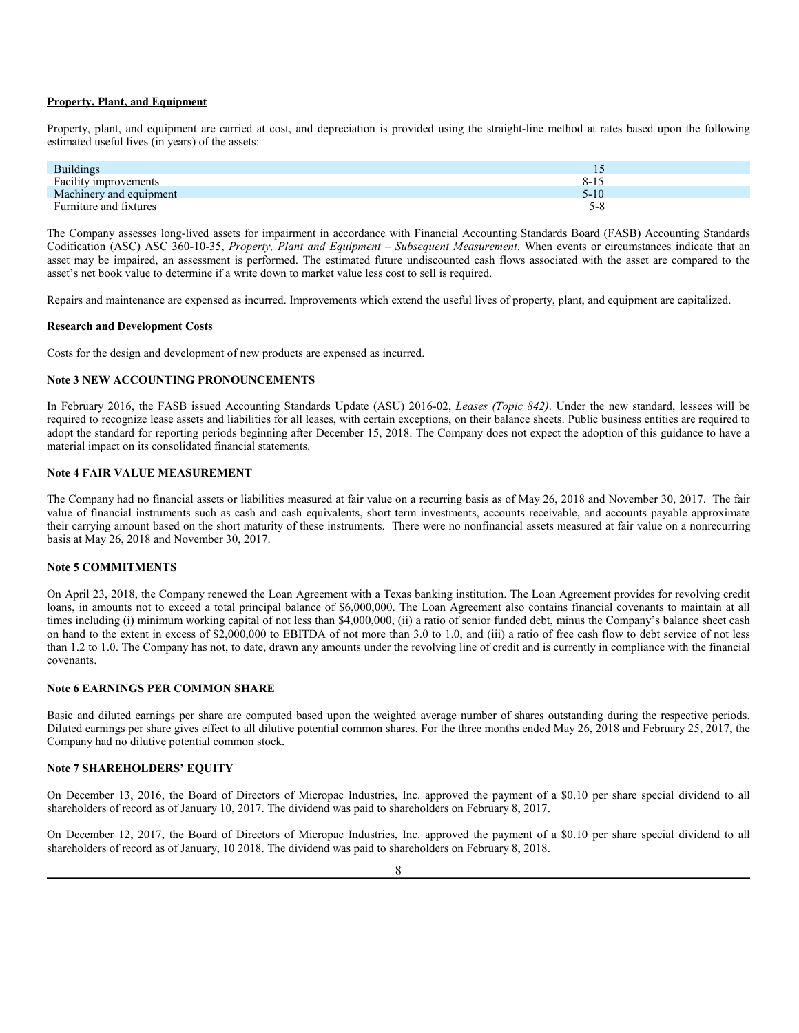#### **Property, Plant, and Equipment**

Property, plant, and equipment are carried at cost, and depreciation is provided using the straight-line method at rates based upon the following estimated useful lives (in years) of the assets:

| <b>Buildings</b>        |          |
|-------------------------|----------|
| Facility improvements   | $8 - 15$ |
| Machinery and equipment | 5-10     |
| Furniture and fixtures  | 5-8      |

The Company assesses long-lived assets for impairment in accordance with Financial Accounting Standards Board (FASB) Accounting Standards Codification (ASC) ASC 360-10-35, *Property, Plant and Equipment – Subsequent Measurement*. When events or circumstances indicate that an asset may be impaired, an assessment is performed. The estimated future undiscounted cash flows associated with the asset are compared to the asset's net book value to determine if a write down to market value less cost to sell is required.

Repairs and maintenance are expensed as incurred. Improvements which extend the useful lives of property, plant, and equipment are capitalized.

#### **Research and Development Costs**

Costs for the design and development of new products are expensed as incurred.

#### **Note 3 NEW ACCOUNTING PRONOUNCEMENTS**

In February 2016, the FASB issued Accounting Standards Update (ASU) 2016-02, *Leases (Topic 842)*. Under the new standard, lessees will be required to recognize lease assets and liabilities for all leases, with certain exceptions, on their balance sheets. Public business entities are required to adopt the standard for reporting periods beginning after December 15, 2018. The Company does not expect the adoption of this guidance to have a material impact on its consolidated financial statements.

### **Note 4 FAIR VALUE MEASUREMENT**

The Company had no financial assets or liabilities measured at fair value on a recurring basis as of May 26, 2018 and November 30, 2017. The fair value of financial instruments such as cash and cash equivalents, short term investments, accounts receivable, and accounts payable approximate their carrying amount based on the short maturity of these instruments. There were no nonfinancial assets measured at fair value on a nonrecurring basis at May 26, 2018 and November 30, 2017.

#### **Note 5 COMMITMENTS**

On April 23, 2018, the Company renewed the Loan Agreement with a Texas banking institution. The Loan Agreement provides for revolving credit loans, in amounts not to exceed a total principal balance of \$6,000,000. The Loan Agreement also contains financial covenants to maintain at all times including (i) minimum working capital of not less than \$4,000,000, (ii) a ratio of senior funded debt, minus the Company's balance sheet cash on hand to the extent in excess of \$2,000,000 to EBITDA of not more than 3.0 to 1.0, and (iii) a ratio of free cash flow to debt service of not less than 1.2 to 1.0. The Company has not, to date, drawn any amounts under the revolving line of credit and is currently in compliance with the financial covenants.

### **Note 6 EARNINGS PER COMMON SHARE**

Basic and diluted earnings per share are computed based upon the weighted average number of shares outstanding during the respective periods. Diluted earnings per share gives effect to all dilutive potential common shares. For the three months ended May 26, 2018 and February 25, 2017, the Company had no dilutive potential common stock.

#### **Note 7 SHAREHOLDERS' EQUITY**

On December 13, 2016, the Board of Directors of Micropac Industries, Inc. approved the payment of a \$0.10 per share special dividend to all shareholders of record as of January 10, 2017. The dividend was paid to shareholders on February 8, 2017.

On December 12, 2017, the Board of Directors of Micropac Industries, Inc. approved the payment of a \$0.10 per share special dividend to all shareholders of record as of January, 10 2018. The dividend was paid to shareholders on February 8, 2018.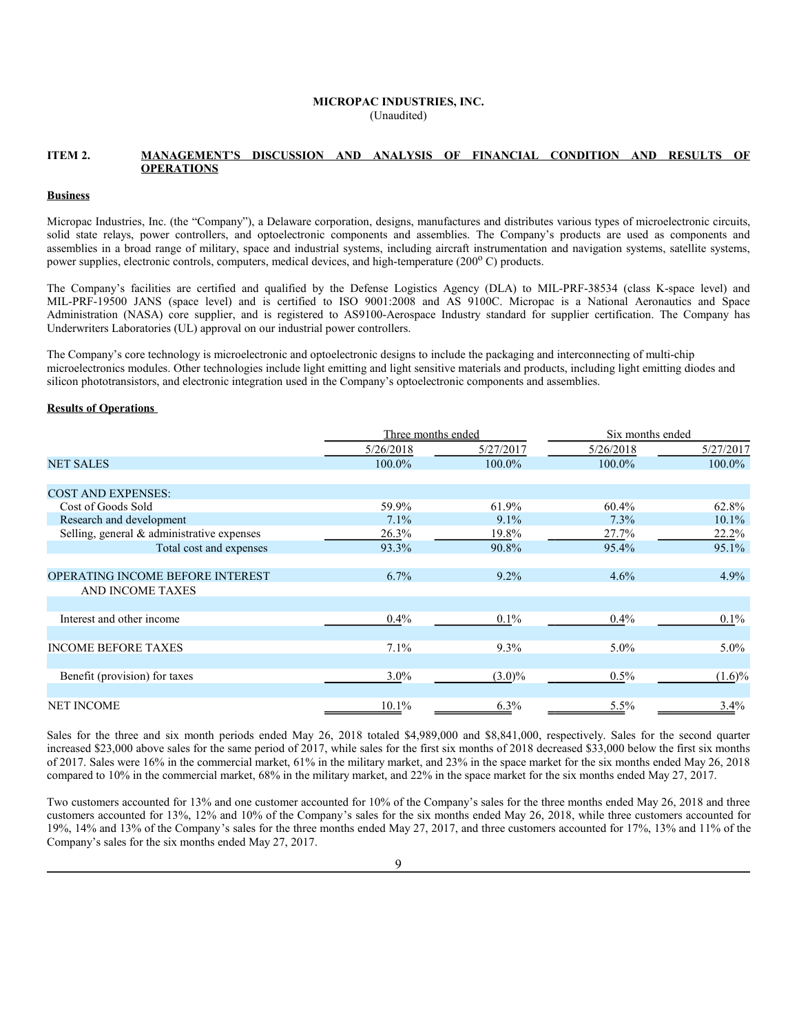### **MICROPAC INDUSTRIES, INC.** (Unaudited)

#### **ITEM 2. MANAGEMENT'S DISCUSSION AND ANALYSIS OF FINANCIAL CONDITION AND RESULTS OF OPERATIONS**

#### **Business**

Micropac Industries, Inc. (the "Company"), a Delaware corporation, designs, manufactures and distributes various types of microelectronic circuits, solid state relays, power controllers, and optoelectronic components and assemblies. The Company's products are used as components and assemblies in a broad range of military, space and industrial systems, including aircraft instrumentation and navigation systems, satellite systems, power supplies, electronic controls, computers, medical devices, and high-temperature (200°C) products.

The Company's facilities are certified and qualified by the Defense Logistics Agency (DLA) to MIL-PRF-38534 (class K-space level) and MIL-PRF-19500 JANS (space level) and is certified to ISO 9001:2008 and AS 9100C. Micropac is a National Aeronautics and Space Administration (NASA) core supplier, and is registered to AS9100-Aerospace Industry standard for supplier certification. The Company has Underwriters Laboratories (UL) approval on our industrial power controllers.

The Company's core technology is microelectronic and optoelectronic designs to include the packaging and interconnecting of multi-chip microelectronics modules. Other technologies include light emitting and light sensitive materials and products, including light emitting diodes and silicon phototransistors, and electronic integration used in the Company's optoelectronic components and assemblies.

### **Results of Operations**

|                                            | Three months ended |           | Six months ended |           |  |
|--------------------------------------------|--------------------|-----------|------------------|-----------|--|
|                                            | 5/26/2018          | 5/27/2017 | 5/26/2018        | 5/27/2017 |  |
| <b>NET SALES</b>                           | 100.0%             | 100.0%    | 100.0%           | 100.0%    |  |
|                                            |                    |           |                  |           |  |
| <b>COST AND EXPENSES:</b>                  |                    |           |                  |           |  |
| Cost of Goods Sold                         | 59.9%              | 61.9%     | 60.4%            | 62.8%     |  |
| Research and development                   | 7.1%               | $9.1\%$   | 7.3%             | $10.1\%$  |  |
| Selling, general & administrative expenses | 26.3%              | 19.8%     | 27.7%            | 22.2%     |  |
| Total cost and expenses                    | 93.3%              | 90.8%     | 95.4%            | 95.1%     |  |
|                                            |                    |           |                  |           |  |
| OPERATING INCOME BEFORE INTEREST           | 6.7%               | $9.2\%$   | 4.6%             | $4.9\%$   |  |
| AND INCOME TAXES                           |                    |           |                  |           |  |
|                                            |                    |           |                  |           |  |
| Interest and other income                  | $0.4\%$            | $0.1\%$   | $0.4\%$          | $0.1\%$   |  |
|                                            |                    |           |                  |           |  |
| <b>INCOME BEFORE TAXES</b>                 | 7.1%               | 9.3%      | $5.0\%$          | $5.0\%$   |  |
|                                            |                    |           |                  |           |  |
| Benefit (provision) for taxes              | $3.0\%$            | $(3.0)\%$ | $0.5\%$          | $(1.6)\%$ |  |
| <b>NET INCOME</b>                          | 10.1%              |           |                  |           |  |
|                                            |                    | $6.3\%$   | 5.5%             | $3.4\%$   |  |

Sales for the three and six month periods ended May 26, 2018 totaled \$4,989,000 and \$8,841,000, respectively. Sales for the second quarter increased \$23,000 above sales for the same period of 2017, while sales for the first six months of 2018 decreased \$33,000 below the first six months of 2017. Sales were 16% in the commercial market, 61% in the military market, and 23% in the space market for the six months ended May 26, 2018 compared to 10% in the commercial market, 68% in the military market, and 22% in the space market for the six months ended May 27, 2017.

Two customers accounted for 13% and one customer accounted for 10% of the Company's sales for the three months ended May 26, 2018 and three customers accounted for 13%, 12% and 10% of the Company's sales for the six months ended May 26, 2018, while three customers accounted for 19%, 14% and 13% of the Company's sales for the three months ended May 27, 2017, and three customers accounted for 17%, 13% and 11% of the Company's sales for the six months ended May 27, 2017.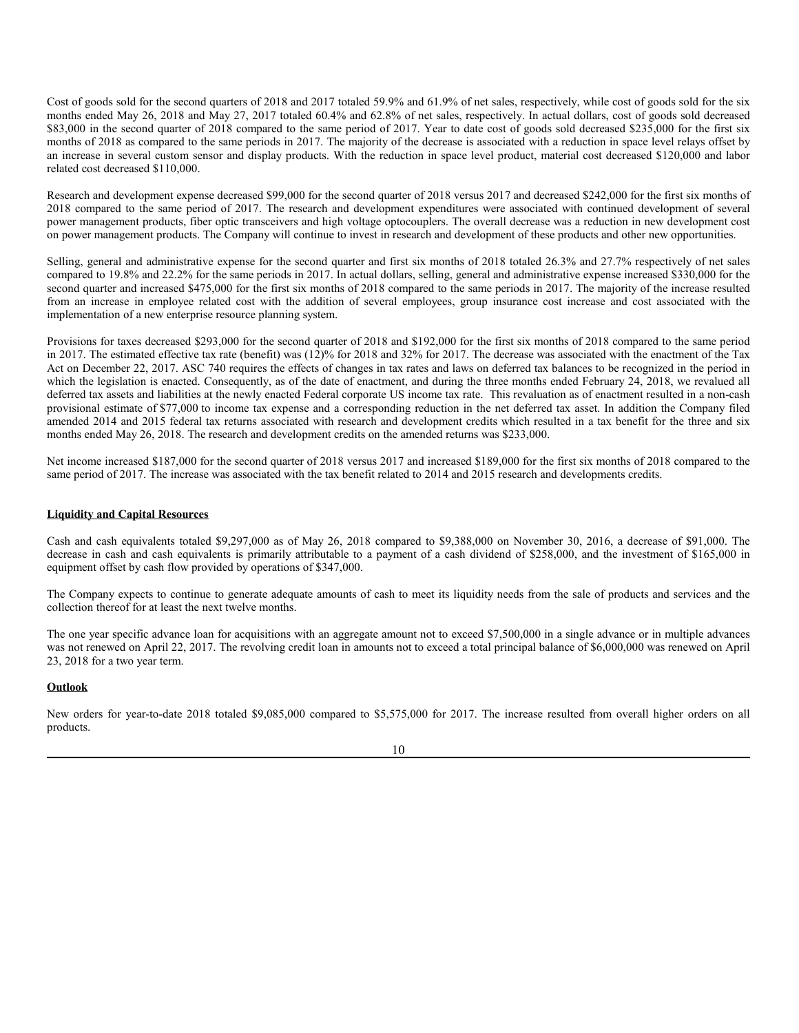Cost of goods sold for the second quarters of 2018 and 2017 totaled 59.9% and 61.9% of net sales, respectively, while cost of goods sold for the six months ended May 26, 2018 and May 27, 2017 totaled 60.4% and 62.8% of net sales, respectively. In actual dollars, cost of goods sold decreased \$83,000 in the second quarter of 2018 compared to the same period of 2017. Year to date cost of goods sold decreased \$235,000 for the first six months of 2018 as compared to the same periods in 2017. The majority of the decrease is associated with a reduction in space level relays offset by an increase in several custom sensor and display products. With the reduction in space level product, material cost decreased \$120,000 and labor related cost decreased \$110,000.

Research and development expense decreased \$99,000 for the second quarter of 2018 versus 2017 and decreased \$242,000 for the first six months of 2018 compared to the same period of 2017. The research and development expenditures were associated with continued development of several power management products, fiber optic transceivers and high voltage optocouplers. The overall decrease was a reduction in new development cost on power management products. The Company will continue to invest in research and development of these products and other new opportunities.

Selling, general and administrative expense for the second quarter and first six months of 2018 totaled 26.3% and 27.7% respectively of net sales compared to 19.8% and 22.2% for the same periods in 2017. In actual dollars, selling, general and administrative expense increased \$330,000 for the second quarter and increased \$475,000 for the first six months of 2018 compared to the same periods in 2017. The majority of the increase resulted from an increase in employee related cost with the addition of several employees, group insurance cost increase and cost associated with the implementation of a new enterprise resource planning system.

Provisions for taxes decreased \$293,000 for the second quarter of 2018 and \$192,000 for the first six months of 2018 compared to the same period in 2017. The estimated effective tax rate (benefit) was (12)% for 2018 and 32% for 2017. The decrease was associated with the enactment of the Tax Act on December 22, 2017. ASC 740 requires the effects of changes in tax rates and laws on deferred tax balances to be recognized in the period in which the legislation is enacted. Consequently, as of the date of enactment, and during the three months ended February 24, 2018, we revalued all deferred tax assets and liabilities at the newly enacted Federal corporate US income tax rate. This revaluation as of enactment resulted in a non-cash provisional estimate of \$77,000 to income tax expense and a corresponding reduction in the net deferred tax asset. In addition the Company filed amended 2014 and 2015 federal tax returns associated with research and development credits which resulted in a tax benefit for the three and six months ended May 26, 2018. The research and development credits on the amended returns was \$233,000.

Net income increased \$187,000 for the second quarter of 2018 versus 2017 and increased \$189,000 for the first six months of 2018 compared to the same period of 2017. The increase was associated with the tax benefit related to 2014 and 2015 research and developments credits.

### **Liquidity and Capital Resources**

Cash and cash equivalents totaled \$9,297,000 as of May 26, 2018 compared to \$9,388,000 on November 30, 2016, a decrease of \$91,000. The decrease in cash and cash equivalents is primarily attributable to a payment of a cash dividend of \$258,000, and the investment of \$165,000 in equipment offset by cash flow provided by operations of \$347,000.

The Company expects to continue to generate adequate amounts of cash to meet its liquidity needs from the sale of products and services and the collection thereof for at least the next twelve months.

The one year specific advance loan for acquisitions with an aggregate amount not to exceed \$7,500,000 in a single advance or in multiple advances was not renewed on April 22, 2017. The revolving credit loan in amounts not to exceed a total principal balance of \$6,000,000 was renewed on April 23, 2018 for a two year term.

#### **Outlook**

New orders for year-to-date 2018 totaled \$9,085,000 compared to \$5,575,000 for 2017. The increase resulted from overall higher orders on all products.

#### 10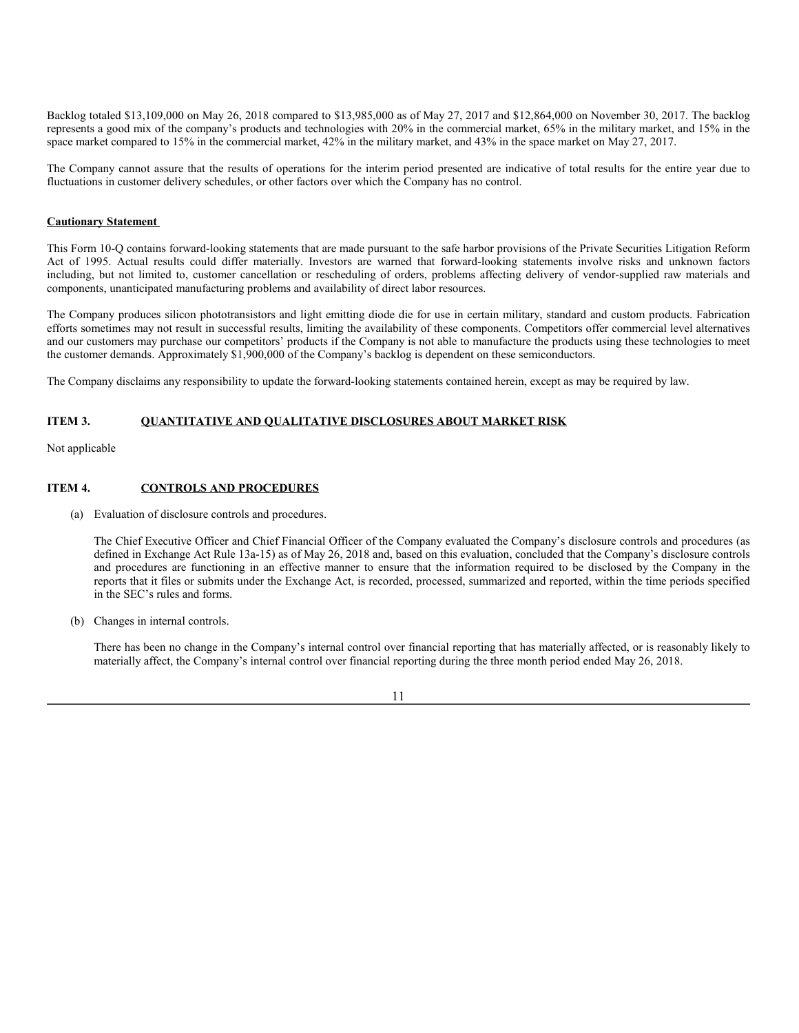Backlog totaled \$13,109,000 on May 26, 2018 compared to \$13,985,000 as of May 27, 2017 and \$12,864,000 on November 30, 2017. The backlog represents a good mix of the company's products and technologies with 20% in the commercial market, 65% in the military market, and 15% in the space market compared to 15% in the commercial market, 42% in the military market, and 43% in the space market on May 27, 2017.

The Company cannot assure that the results of operations for the interim period presented are indicative of total results for the entire year due to fluctuations in customer delivery schedules, or other factors over which the Company has no control.

### **Cautionary Statement**

This Form 10-Q contains forward-looking statements that are made pursuant to the safe harbor provisions of the Private Securities Litigation Reform Act of 1995. Actual results could differ materially. Investors are warned that forward-looking statements involve risks and unknown factors including, but not limited to, customer cancellation or rescheduling of orders, problems affecting delivery of vendor-supplied raw materials and components, unanticipated manufacturing problems and availability of direct labor resources.

The Company produces silicon phototransistors and light emitting diode die for use in certain military, standard and custom products. Fabrication efforts sometimes may not result in successful results, limiting the availability of these components. Competitors offer commercial level alternatives and our customers may purchase our competitors' products if the Company is not able to manufacture the products using these technologies to meet the customer demands. Approximately \$1,900,000 of the Company's backlog is dependent on these semiconductors.

The Company disclaims any responsibility to update the forward-looking statements contained herein, except as may be required by law.

#### **ITEM 3. QUANTITATIVE AND QUALITATIVE DISCLOSURES ABOUT MARKET RISK**

Not applicable

#### **ITEM 4. CONTROLS AND PROCEDURES**

(a) Evaluation of disclosure controls and procedures.

The Chief Executive Officer and Chief Financial Officer of the Company evaluated the Company's disclosure controls and procedures (as defined in Exchange Act Rule 13a-15) as of May 26, 2018 and, based on this evaluation, concluded that the Company's disclosure controls and procedures are functioning in an effective manner to ensure that the information required to be disclosed by the Company in the reports that it files or submits under the Exchange Act, is recorded, processed, summarized and reported, within the time periods specified in the SEC's rules and forms.

(b) Changes in internal controls.

There has been no change in the Company's internal control over financial reporting that has materially affected, or is reasonably likely to materially affect, the Company's internal control over financial reporting during the three month period ended May 26, 2018.